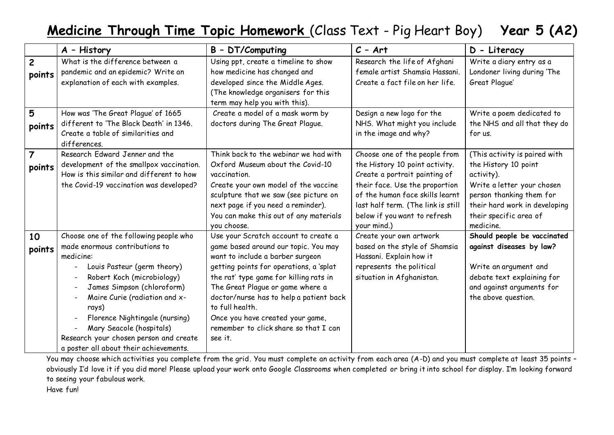## **Medicine Through Time Topic Homework** (Class Text - Pig Heart Boy) **Year 5 (A2)**

|                          | A - History                                                                                                                                                                                                                                                                                                                                                                  | B - DT/Computing                                                                                                                                                                                                                                                                                                                                                                                | $C - Art$                                                                                                                                                                                                                                                  | D - Literacy                                                                                                                                                                                          |
|--------------------------|------------------------------------------------------------------------------------------------------------------------------------------------------------------------------------------------------------------------------------------------------------------------------------------------------------------------------------------------------------------------------|-------------------------------------------------------------------------------------------------------------------------------------------------------------------------------------------------------------------------------------------------------------------------------------------------------------------------------------------------------------------------------------------------|------------------------------------------------------------------------------------------------------------------------------------------------------------------------------------------------------------------------------------------------------------|-------------------------------------------------------------------------------------------------------------------------------------------------------------------------------------------------------|
| $\overline{2}$<br>points | What is the difference between a<br>pandemic and an epidemic? Write an<br>explanation of each with examples.                                                                                                                                                                                                                                                                 | Using ppt, create a timeline to show<br>how medicine has changed and<br>developed since the Middle Ages.<br>(The knowledge organisers for this<br>term may help you with this).                                                                                                                                                                                                                 | Research the life of Afghani<br>female artist Shamsia Hassani.<br>Create a fact file on her life.                                                                                                                                                          | Write a diary entry as a<br>Londoner living during 'The<br>Great Plaque'                                                                                                                              |
| 5<br>points              | How was 'The Great Plague' of 1665<br>different to 'The Black Death' in 1346.<br>Create a table of similarities and<br>differences.                                                                                                                                                                                                                                          | Create a model of a mask worm by<br>doctors during The Great Plague.                                                                                                                                                                                                                                                                                                                            | Design a new logo for the<br>NHS. What might you include<br>in the image and why?                                                                                                                                                                          | Write a poem dedicated to<br>the NHS and all that they do<br>for us.                                                                                                                                  |
| $\overline{7}$<br>points | Research Edward Jenner and the<br>development of the smallpox vaccination.<br>How is this similar and different to how<br>the Covid-19 vaccination was developed?                                                                                                                                                                                                            | Think back to the webinar we had with<br>Oxford Museum about the Covid-10<br>vaccination.<br>Create your own model of the vaccine<br>sculpture that we saw (see picture on<br>next page if you need a reminder).<br>You can make this out of any materials<br>you choose.                                                                                                                       | Choose one of the people from<br>the History 10 point activity.<br>Create a portrait painting of<br>their face. Use the proportion<br>of the human face skills learnt<br>last half term. (The link is still<br>below if you want to refresh<br>your mind.) | (This activity is paired with<br>the History 10 point<br>activity).<br>Write a letter your chosen<br>person thanking them for<br>their hard work in developing<br>their specific area of<br>medicine. |
| 10<br>points             | Choose one of the following people who<br>made enormous contributions to<br>medicine:<br>Louis Pasteur (germ theory)<br>Robert Koch (microbiology)<br>James Simpson (chloroform)<br>Maire Curie (radiation and x-<br>rays)<br>Florence Nightingale (nursing)<br>Mary Seacole (hospitals)<br>Research your chosen person and create<br>a poster all about their achievements. | Use your Scratch account to create a<br>game based around our topic. You may<br>want to include a barber surgeon<br>getting points for operations, a 'splat<br>the rat' type game for killing rats in<br>The Great Plague or game where a<br>doctor/nurse has to help a patient back<br>to full health.<br>Once you have created your game,<br>remember to click share so that I can<br>see it. | Create your own artwork<br>based on the style of Shamsia<br>Hassani. Explain how it<br>represents the political<br>situation in Afghanistan.                                                                                                               | Should people be vaccinated<br>against diseases by law?<br>Write an argument and<br>debate text explaining for<br>and against arguments for<br>the above question.                                    |

You may choose which activities you complete from the grid. You must complete an activity from each area (A-D) and you must complete at least 35 points – obviously I'd love it if you did more! Please upload your work onto Google Classrooms when completed or bring it into school for display. I'm looking forward to seeing your fabulous work. Have fun!